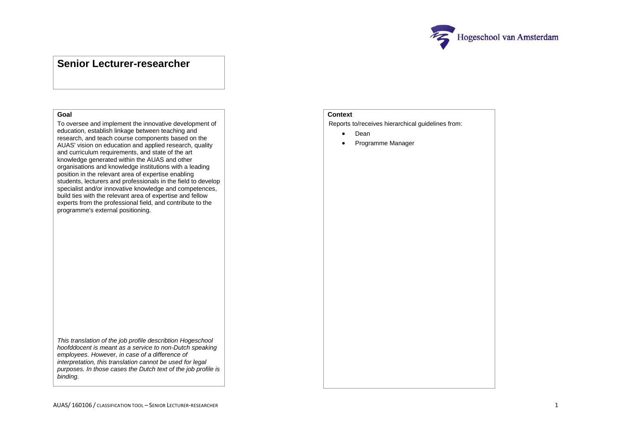

## **Senior Lecturer-researcher**

## **Goal**

To oversee and implement the innovative development of education, establish linkage between teaching and research, and teach course components based on the AUAS' vision on education and applied research, quality and curriculum requirements, and state of the art knowledge generated within the AUAS and other organisations and knowledge institutions with a leading position in the relevant area of expertise enabling students, lecturers and professionals in the field to develop specialist and/or innovative knowledge and competences, build ties with the relevant area of expertise and fellow experts from the professional field, and contribute to the programme's external positioning.

**Context**

Reports to/receives hierarchical guidelines from:

- Dean
- Programme Manager

*This translation of the job profile describtion Hogeschool hoofddocent is meant as a service to non-Dutch speaking employees. However, in case of a difference of interpretation, this translation cannot be used for legal purposes. In those cases the Dutch text of the job profile is binding.*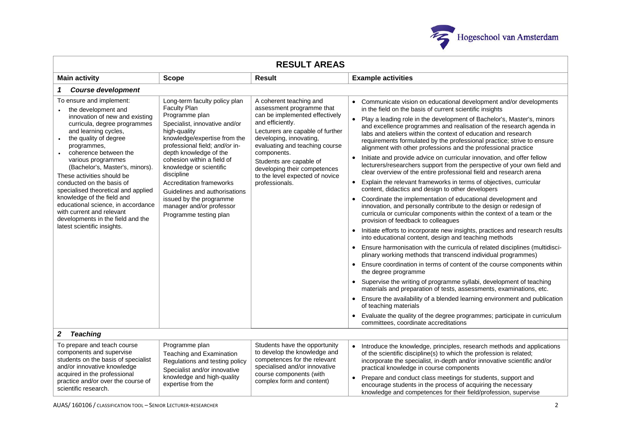

| <b>RESULT AREAS</b>                                                                                                                                                                                                                                                                                                                                                                                                                                                                                                                        |                                                                                                                                                                                                                                                                                                                                                                                                                                                 |                                                                                                                                                                                                                                                                                                                                            |                                                                                                                                                                                                                                                                                                                                                                                                                                                                                                                                                                                                                                                                                                                                                                                                                                                                                                                                                                                                                                                                                                                                                                                                                                                                                                                                                                                                                                                                                                                                                                                                                                                                                                                                                                                                                                                                                              |  |  |  |  |
|--------------------------------------------------------------------------------------------------------------------------------------------------------------------------------------------------------------------------------------------------------------------------------------------------------------------------------------------------------------------------------------------------------------------------------------------------------------------------------------------------------------------------------------------|-------------------------------------------------------------------------------------------------------------------------------------------------------------------------------------------------------------------------------------------------------------------------------------------------------------------------------------------------------------------------------------------------------------------------------------------------|--------------------------------------------------------------------------------------------------------------------------------------------------------------------------------------------------------------------------------------------------------------------------------------------------------------------------------------------|----------------------------------------------------------------------------------------------------------------------------------------------------------------------------------------------------------------------------------------------------------------------------------------------------------------------------------------------------------------------------------------------------------------------------------------------------------------------------------------------------------------------------------------------------------------------------------------------------------------------------------------------------------------------------------------------------------------------------------------------------------------------------------------------------------------------------------------------------------------------------------------------------------------------------------------------------------------------------------------------------------------------------------------------------------------------------------------------------------------------------------------------------------------------------------------------------------------------------------------------------------------------------------------------------------------------------------------------------------------------------------------------------------------------------------------------------------------------------------------------------------------------------------------------------------------------------------------------------------------------------------------------------------------------------------------------------------------------------------------------------------------------------------------------------------------------------------------------------------------------------------------------|--|--|--|--|
| <b>Main activity</b>                                                                                                                                                                                                                                                                                                                                                                                                                                                                                                                       | <b>Scope</b>                                                                                                                                                                                                                                                                                                                                                                                                                                    | <b>Result</b>                                                                                                                                                                                                                                                                                                                              | <b>Example activities</b>                                                                                                                                                                                                                                                                                                                                                                                                                                                                                                                                                                                                                                                                                                                                                                                                                                                                                                                                                                                                                                                                                                                                                                                                                                                                                                                                                                                                                                                                                                                                                                                                                                                                                                                                                                                                                                                                    |  |  |  |  |
| <b>Course development</b><br>1                                                                                                                                                                                                                                                                                                                                                                                                                                                                                                             |                                                                                                                                                                                                                                                                                                                                                                                                                                                 |                                                                                                                                                                                                                                                                                                                                            |                                                                                                                                                                                                                                                                                                                                                                                                                                                                                                                                                                                                                                                                                                                                                                                                                                                                                                                                                                                                                                                                                                                                                                                                                                                                                                                                                                                                                                                                                                                                                                                                                                                                                                                                                                                                                                                                                              |  |  |  |  |
| To ensure and implement:<br>the development and<br>innovation of new and existing<br>curricula, degree programmes<br>and learning cycles,<br>the quality of degree<br>programmes,<br>coherence between the<br>various programmes<br>(Bachelor's, Master's, minors).<br>These activities should be<br>conducted on the basis of<br>specialised theoretical and applied<br>knowledge of the field and<br>educational science, in accordance<br>with current and relevant<br>developments in the field and the<br>latest scientific insights. | Long-term faculty policy plan<br><b>Faculty Plan</b><br>Programme plan<br>Specialist, innovative and/or<br>high-quality<br>knowledge/expertise from the<br>professional field; and/or in-<br>depth knowledge of the<br>cohesion within a field of<br>knowledge or scientific<br>discipline<br><b>Accreditation frameworks</b><br>Guidelines and authorisations<br>issued by the programme<br>manager and/or professor<br>Programme testing plan | A coherent teaching and<br>assessment programme that<br>can be implemented effectively<br>and efficiently.<br>Lecturers are capable of further<br>developing, innovating,<br>evaluating and teaching course<br>components.<br>Students are capable of<br>developing their competences<br>to the level expected of novice<br>professionals. | Communicate vision on educational development and/or developments<br>in the field on the basis of current scientific insights<br>Play a leading role in the development of Bachelor's, Master's, minors<br>and excellence programmes and realisation of the research agenda in<br>labs and ateliers within the context of education and research<br>requirements formulated by the professional practice; strive to ensure<br>alignment with other professions and the professional practice<br>Initiate and provide advice on curricular innovation, and offer fellow<br>lecturers/researchers support from the perspective of your own field and<br>clear overview of the entire professional field and research arena<br>Explain the relevant frameworks in terms of objectives, curricular<br>content, didactics and design to other developers<br>Coordinate the implementation of educational development and<br>innovation, and personally contribute to the design or redesign of<br>curricula or curricular components within the context of a team or the<br>provision of feedback to colleagues<br>Initiate efforts to incorporate new insights, practices and research results<br>$\bullet$<br>into educational content, design and teaching methods<br>Ensure harmonisation with the curricula of related disciplines (multidisci-<br>plinary working methods that transcend individual programmes)<br>Ensure coordination in terms of content of the course components within<br>the degree programme<br>Supervise the writing of programme syllabi, development of teaching<br>materials and preparation of tests, assessments, examinations, etc.<br>Ensure the availability of a blended learning environment and publication<br>of teaching materials<br>Evaluate the quality of the degree programmes; participate in curriculum<br>committees, coordinate accreditations |  |  |  |  |
| $\mathbf{2}$<br><b>Teaching</b>                                                                                                                                                                                                                                                                                                                                                                                                                                                                                                            |                                                                                                                                                                                                                                                                                                                                                                                                                                                 |                                                                                                                                                                                                                                                                                                                                            |                                                                                                                                                                                                                                                                                                                                                                                                                                                                                                                                                                                                                                                                                                                                                                                                                                                                                                                                                                                                                                                                                                                                                                                                                                                                                                                                                                                                                                                                                                                                                                                                                                                                                                                                                                                                                                                                                              |  |  |  |  |
| To prepare and teach course<br>components and supervise<br>students on the basis of specialist<br>and/or innovative knowledge<br>acquired in the professional<br>practice and/or over the course of<br>scientific research.                                                                                                                                                                                                                                                                                                                | Programme plan<br>Teaching and Examination<br>Regulations and testing policy<br>Specialist and/or innovative<br>knowledge and high-quality<br>expertise from the                                                                                                                                                                                                                                                                                | Students have the opportunity<br>to develop the knowledge and<br>competences for the relevant<br>specialised and/or innovative<br>course components (with<br>complex form and content)                                                                                                                                                     | Introduce the knowledge, principles, research methods and applications<br>of the scientific discipline(s) to which the profession is related;<br>incorporate the specialist, in-depth and/or innovative scientific and/or<br>practical knowledge in course components<br>Prepare and conduct class meetings for students, support and<br>encourage students in the process of acquiring the necessary<br>knowledge and competences for their field/profession, supervise                                                                                                                                                                                                                                                                                                                                                                                                                                                                                                                                                                                                                                                                                                                                                                                                                                                                                                                                                                                                                                                                                                                                                                                                                                                                                                                                                                                                                     |  |  |  |  |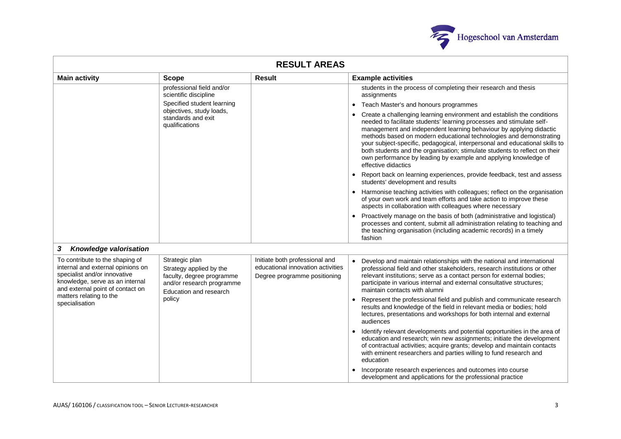

| <b>RESULT AREAS</b>                                                                                                                                                         |                                                                                                                               |                                                                                                     |                                                                                                                                                                                                                                                                                                                                                                                                                                                                                                                                                    |  |  |
|-----------------------------------------------------------------------------------------------------------------------------------------------------------------------------|-------------------------------------------------------------------------------------------------------------------------------|-----------------------------------------------------------------------------------------------------|----------------------------------------------------------------------------------------------------------------------------------------------------------------------------------------------------------------------------------------------------------------------------------------------------------------------------------------------------------------------------------------------------------------------------------------------------------------------------------------------------------------------------------------------------|--|--|
| <b>Main activity</b>                                                                                                                                                        | <b>Scope</b>                                                                                                                  | <b>Result</b>                                                                                       | <b>Example activities</b>                                                                                                                                                                                                                                                                                                                                                                                                                                                                                                                          |  |  |
|                                                                                                                                                                             | professional field and/or<br>scientific discipline                                                                            |                                                                                                     | students in the process of completing their research and thesis<br>assignments                                                                                                                                                                                                                                                                                                                                                                                                                                                                     |  |  |
|                                                                                                                                                                             | Specified student learning<br>objectives, study loads,                                                                        |                                                                                                     | Teach Master's and honours programmes<br>$\bullet$                                                                                                                                                                                                                                                                                                                                                                                                                                                                                                 |  |  |
|                                                                                                                                                                             | standards and exit<br>qualifications                                                                                          |                                                                                                     | Create a challenging learning environment and establish the conditions<br>needed to facilitate students' learning processes and stimulate self-<br>management and independent learning behaviour by applying didactic<br>methods based on modern educational technologies and demonstrating<br>your subject-specific, pedagogical, interpersonal and educational skills to<br>both students and the organisation; stimulate students to reflect on their<br>own performance by leading by example and applying knowledge of<br>effective didactics |  |  |
|                                                                                                                                                                             |                                                                                                                               |                                                                                                     | Report back on learning experiences, provide feedback, test and assess<br>$\bullet$<br>students' development and results                                                                                                                                                                                                                                                                                                                                                                                                                           |  |  |
|                                                                                                                                                                             |                                                                                                                               |                                                                                                     | Harmonise teaching activities with colleagues; reflect on the organisation<br>$\bullet$<br>of your own work and team efforts and take action to improve these<br>aspects in collaboration with colleagues where necessary                                                                                                                                                                                                                                                                                                                          |  |  |
|                                                                                                                                                                             |                                                                                                                               |                                                                                                     | Proactively manage on the basis of both (administrative and logistical)<br>processes and content, submit all administration relating to teaching and<br>the teaching organisation (including academic records) in a timely<br>fashion                                                                                                                                                                                                                                                                                                              |  |  |
| Knowledge valorisation<br>3                                                                                                                                                 |                                                                                                                               |                                                                                                     |                                                                                                                                                                                                                                                                                                                                                                                                                                                                                                                                                    |  |  |
| To contribute to the shaping of<br>internal and external opinions on<br>specialist and/or innovative<br>knowledge, serve as an internal<br>and external point of contact on | Strategic plan<br>Strategy applied by the<br>faculty, degree programme<br>and/or research programme<br>Education and research | Initiate both professional and<br>educational innovation activities<br>Degree programme positioning | Develop and maintain relationships with the national and international<br>professional field and other stakeholders, research institutions or other<br>relevant institutions; serve as a contact person for external bodies;<br>participate in various internal and external consultative structures;<br>maintain contacts with alumni                                                                                                                                                                                                             |  |  |
| matters relating to the<br>specialisation                                                                                                                                   | policy                                                                                                                        |                                                                                                     | Represent the professional field and publish and communicate research<br>results and knowledge of the field in relevant media or bodies; hold<br>lectures, presentations and workshops for both internal and external<br>audiences                                                                                                                                                                                                                                                                                                                 |  |  |
|                                                                                                                                                                             |                                                                                                                               |                                                                                                     | Identify relevant developments and potential opportunities in the area of<br>$\bullet$<br>education and research; win new assignments; initiate the development<br>of contractual activities; acquire grants; develop and maintain contacts<br>with eminent researchers and parties willing to fund research and<br>education                                                                                                                                                                                                                      |  |  |
|                                                                                                                                                                             |                                                                                                                               |                                                                                                     | Incorporate research experiences and outcomes into course<br>development and applications for the professional practice                                                                                                                                                                                                                                                                                                                                                                                                                            |  |  |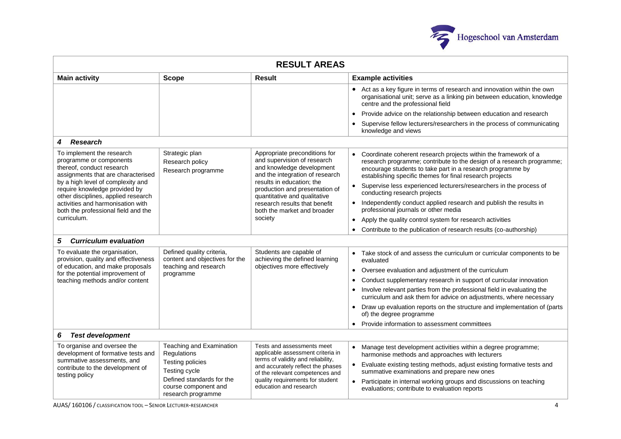

| <b>RESULT AREAS</b>                                                                                                                                                              |                                                                                                   |                                                                                                                              |                                                                                                                                                                                                                                                                                 |  |  |
|----------------------------------------------------------------------------------------------------------------------------------------------------------------------------------|---------------------------------------------------------------------------------------------------|------------------------------------------------------------------------------------------------------------------------------|---------------------------------------------------------------------------------------------------------------------------------------------------------------------------------------------------------------------------------------------------------------------------------|--|--|
| <b>Main activity</b>                                                                                                                                                             | <b>Scope</b>                                                                                      | <b>Result</b>                                                                                                                | <b>Example activities</b>                                                                                                                                                                                                                                                       |  |  |
|                                                                                                                                                                                  |                                                                                                   |                                                                                                                              | • Act as a key figure in terms of research and innovation within the own<br>organisational unit; serve as a linking pin between education, knowledge<br>centre and the professional field                                                                                       |  |  |
|                                                                                                                                                                                  |                                                                                                   |                                                                                                                              | Provide advice on the relationship between education and research<br>$\bullet$                                                                                                                                                                                                  |  |  |
|                                                                                                                                                                                  |                                                                                                   |                                                                                                                              | Supervise fellow lecturers/researchers in the process of communicating<br>$\bullet$<br>knowledge and views                                                                                                                                                                      |  |  |
| <b>Research</b><br>4                                                                                                                                                             |                                                                                                   |                                                                                                                              |                                                                                                                                                                                                                                                                                 |  |  |
| To implement the research<br>programme or components<br>thereof, conduct research<br>assignments that are characterised                                                          | Strategic plan<br>Research policy<br>Research programme                                           | Appropriate preconditions for<br>and supervision of research<br>and knowledge development<br>and the integration of research | Coordinate coherent research projects within the framework of a<br>$\bullet$<br>research programme; contribute to the design of a research programme;<br>encourage students to take part in a research programme by<br>establishing specific themes for final research projects |  |  |
| by a high level of complexity and<br>require knowledge provided by<br>other disciplines, applied research                                                                        |                                                                                                   | results in education; the<br>production and presentation of<br>quantitative and qualitative                                  | Supervise less experienced lecturers/researchers in the process of<br>$\bullet$<br>conducting research projects                                                                                                                                                                 |  |  |
| activities and harmonisation with<br>both the professional field and the                                                                                                         |                                                                                                   | research results that benefit<br>both the market and broader                                                                 | Independently conduct applied research and publish the results in<br>professional journals or other media                                                                                                                                                                       |  |  |
| curriculum.                                                                                                                                                                      |                                                                                                   | society                                                                                                                      | Apply the quality control system for research activities<br>$\bullet$                                                                                                                                                                                                           |  |  |
|                                                                                                                                                                                  |                                                                                                   |                                                                                                                              | Contribute to the publication of research results (co-authorship)<br>$\bullet$                                                                                                                                                                                                  |  |  |
| 5<br><b>Curriculum evaluation</b>                                                                                                                                                |                                                                                                   |                                                                                                                              |                                                                                                                                                                                                                                                                                 |  |  |
| To evaluate the organisation,<br>provision, quality and effectiveness<br>of education, and make proposals<br>for the potential improvement of<br>teaching methods and/or content | Defined quality criteria,<br>content and objectives for the<br>teaching and research<br>programme | Students are capable of<br>achieving the defined learning                                                                    | Take stock of and assess the curriculum or curricular components to be<br>evaluated                                                                                                                                                                                             |  |  |
|                                                                                                                                                                                  |                                                                                                   | objectives more effectively                                                                                                  | Oversee evaluation and adjustment of the curriculum<br>$\bullet$                                                                                                                                                                                                                |  |  |
|                                                                                                                                                                                  |                                                                                                   |                                                                                                                              | Conduct supplementary research in support of curricular innovation<br>$\bullet$                                                                                                                                                                                                 |  |  |
|                                                                                                                                                                                  |                                                                                                   |                                                                                                                              | Involve relevant parties from the professional field in evaluating the<br>$\bullet$<br>curriculum and ask them for advice on adjustments, where necessary                                                                                                                       |  |  |
|                                                                                                                                                                                  |                                                                                                   |                                                                                                                              | Draw up evaluation reports on the structure and implementation of (parts<br>$\bullet$<br>of) the degree programme                                                                                                                                                               |  |  |
|                                                                                                                                                                                  |                                                                                                   |                                                                                                                              | Provide information to assessment committees<br>$\bullet$                                                                                                                                                                                                                       |  |  |
| <b>Test development</b><br>6                                                                                                                                                     |                                                                                                   |                                                                                                                              |                                                                                                                                                                                                                                                                                 |  |  |
| To organise and oversee the<br>development of formative tests and                                                                                                                | Teaching and Examination<br>Regulations                                                           | Tests and assessments meet<br>applicable assessment criteria in<br>terms of validity and reliability,                        | Manage test development activities within a degree programme;<br>harmonise methods and approaches with lecturers                                                                                                                                                                |  |  |
| summative assessments, and<br>contribute to the development of                                                                                                                   | Testing policies<br>Testing cycle                                                                 | and accurately reflect the phases<br>of the relevant competences and<br>quality requirements for student                     | Evaluate existing testing methods, adjust existing formative tests and                                                                                                                                                                                                          |  |  |
| testing policy                                                                                                                                                                   | Defined standards for the                                                                         |                                                                                                                              | summative examinations and prepare new ones<br>Participate in internal working groups and discussions on teaching                                                                                                                                                               |  |  |
|                                                                                                                                                                                  | course component and<br>research programme                                                        | education and research                                                                                                       | evaluations; contribute to evaluation reports                                                                                                                                                                                                                                   |  |  |

AUAS/ 160106 / CLASSIFICATION TOOL – SENIOR LECTURER-RESEARCHER 4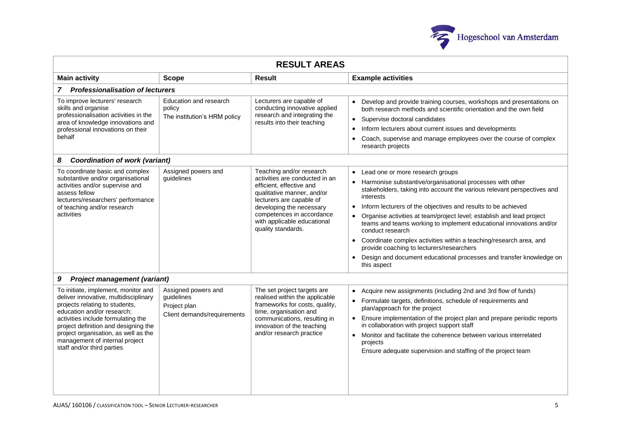

| <b>RESULT AREAS</b>                                                                                                                                                                                                                                                                                                                |                                                                                  |                                                                                                                                                                                                                                                                |                                                                                                                                                                                                                                                                                                                                                                                                                                                                                                                                                                                                                                                                            |  |  |  |
|------------------------------------------------------------------------------------------------------------------------------------------------------------------------------------------------------------------------------------------------------------------------------------------------------------------------------------|----------------------------------------------------------------------------------|----------------------------------------------------------------------------------------------------------------------------------------------------------------------------------------------------------------------------------------------------------------|----------------------------------------------------------------------------------------------------------------------------------------------------------------------------------------------------------------------------------------------------------------------------------------------------------------------------------------------------------------------------------------------------------------------------------------------------------------------------------------------------------------------------------------------------------------------------------------------------------------------------------------------------------------------------|--|--|--|
| <b>Main activity</b>                                                                                                                                                                                                                                                                                                               | <b>Scope</b>                                                                     | <b>Result</b>                                                                                                                                                                                                                                                  | <b>Example activities</b>                                                                                                                                                                                                                                                                                                                                                                                                                                                                                                                                                                                                                                                  |  |  |  |
| 7 Professionalisation of lecturers                                                                                                                                                                                                                                                                                                 |                                                                                  |                                                                                                                                                                                                                                                                |                                                                                                                                                                                                                                                                                                                                                                                                                                                                                                                                                                                                                                                                            |  |  |  |
| To improve lecturers' research<br>skills and organise<br>professionalisation activities in the<br>area of knowledge innovations and<br>professional innovations on their<br>behalf                                                                                                                                                 | Education and research<br>policy<br>The institution's HRM policy                 | Lecturers are capable of<br>conducting innovative applied<br>research and integrating the<br>results into their teaching                                                                                                                                       | Develop and provide training courses, workshops and presentations on<br>both research methods and scientific orientation and the own field<br>Supervise doctoral candidates<br>Inform lecturers about current issues and developments<br>Coach, supervise and manage employees over the course of complex<br>research projects                                                                                                                                                                                                                                                                                                                                             |  |  |  |
| <b>Coordination of work (variant)</b><br>8                                                                                                                                                                                                                                                                                         |                                                                                  |                                                                                                                                                                                                                                                                |                                                                                                                                                                                                                                                                                                                                                                                                                                                                                                                                                                                                                                                                            |  |  |  |
| To coordinate basic and complex<br>substantive and/or organisational<br>activities and/or supervise and<br>assess fellow<br>lecturers/researchers' performance<br>of teaching and/or research<br>activities                                                                                                                        | Assigned powers and<br>guidelines                                                | Teaching and/or research<br>activities are conducted in an<br>efficient, effective and<br>qualitative manner, and/or<br>lecturers are capable of<br>developing the necessary<br>competences in accordance<br>with applicable educational<br>quality standards. | Lead one or more research groups<br>$\bullet$<br>Harmonise substantive/organisational processes with other<br>stakeholders, taking into account the various relevant perspectives and<br>interests<br>Inform lecturers of the objectives and results to be achieved<br>$\bullet$<br>Organise activities at team/project level; establish and lead project<br>teams and teams working to implement educational innovations and/or<br>conduct research<br>Coordinate complex activities within a teaching/research area, and<br>$\bullet$<br>provide coaching to lecturers/researchers<br>Design and document educational processes and transfer knowledge on<br>this aspect |  |  |  |
| 9<br><b>Project management (variant)</b>                                                                                                                                                                                                                                                                                           |                                                                                  |                                                                                                                                                                                                                                                                |                                                                                                                                                                                                                                                                                                                                                                                                                                                                                                                                                                                                                                                                            |  |  |  |
| To initiate, implement, monitor and<br>deliver innovative, multidisciplinary<br>projects relating to students,<br>education and/or research;<br>activities include formulating the<br>project definition and designing the<br>project organisation, as well as the<br>management of internal project<br>staff and/or third parties | Assigned powers and<br>guidelines<br>Project plan<br>Client demands/requirements | The set project targets are<br>realised within the applicable<br>frameworks for costs, quality,<br>time, organisation and<br>communications, resulting in<br>innovation of the teaching<br>and/or research practice                                            | Acquire new assignments (including 2nd and 3rd flow of funds)<br>Formulate targets, definitions, schedule of requirements and<br>plan/approach for the project<br>Ensure implementation of the project plan and prepare periodic reports<br>in collaboration with project support staff<br>Monitor and facilitate the coherence between various interrelated<br>projects<br>Ensure adequate supervision and staffing of the project team                                                                                                                                                                                                                                   |  |  |  |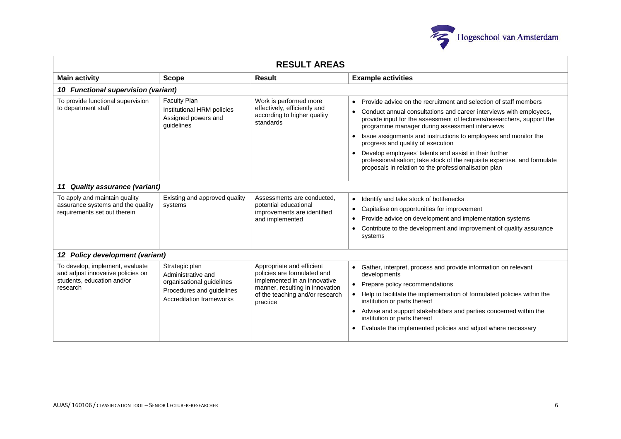

| <b>RESULT AREAS</b>                                                                                            |                                                                                                                                   |                                                                                                                                                                            |                                                                                                                                                                                                                                                                                                                                                                                                                                                                                                                                                                                                                                |  |  |
|----------------------------------------------------------------------------------------------------------------|-----------------------------------------------------------------------------------------------------------------------------------|----------------------------------------------------------------------------------------------------------------------------------------------------------------------------|--------------------------------------------------------------------------------------------------------------------------------------------------------------------------------------------------------------------------------------------------------------------------------------------------------------------------------------------------------------------------------------------------------------------------------------------------------------------------------------------------------------------------------------------------------------------------------------------------------------------------------|--|--|
| <b>Main activity</b>                                                                                           | <b>Scope</b>                                                                                                                      | Result                                                                                                                                                                     | <b>Example activities</b>                                                                                                                                                                                                                                                                                                                                                                                                                                                                                                                                                                                                      |  |  |
| 10 Functional supervision (variant)                                                                            |                                                                                                                                   |                                                                                                                                                                            |                                                                                                                                                                                                                                                                                                                                                                                                                                                                                                                                                                                                                                |  |  |
| To provide functional supervision<br>to department staff                                                       | <b>Faculty Plan</b><br>Institutional HRM policies<br>Assigned powers and<br>quidelines                                            | Work is performed more<br>effectively, efficiently and<br>according to higher quality<br>standards                                                                         | Provide advice on the recruitment and selection of staff members<br>$\bullet$<br>Conduct annual consultations and career interviews with employees,<br>$\bullet$<br>provide input for the assessment of lecturers/researchers, support the<br>programme manager during assessment interviews<br>Issue assignments and instructions to employees and monitor the<br>$\bullet$<br>progress and quality of execution<br>Develop employees' talents and assist in their further<br>$\bullet$<br>professionalisation; take stock of the requisite expertise, and formulate<br>proposals in relation to the professionalisation plan |  |  |
| <b>Quality assurance (variant)</b><br>11                                                                       |                                                                                                                                   |                                                                                                                                                                            |                                                                                                                                                                                                                                                                                                                                                                                                                                                                                                                                                                                                                                |  |  |
| To apply and maintain quality<br>assurance systems and the quality<br>requirements set out therein             | Existing and approved quality<br>systems                                                                                          | Assessments are conducted.<br>potential educational<br>improvements are identified<br>and implemented                                                                      | Identify and take stock of bottlenecks<br>$\bullet$<br>Capitalise on opportunities for improvement<br>$\bullet$<br>Provide advice on development and implementation systems<br>$\bullet$<br>Contribute to the development and improvement of quality assurance<br>$\bullet$<br>systems                                                                                                                                                                                                                                                                                                                                         |  |  |
| 12 Policy development (variant)                                                                                |                                                                                                                                   |                                                                                                                                                                            |                                                                                                                                                                                                                                                                                                                                                                                                                                                                                                                                                                                                                                |  |  |
| To develop, implement, evaluate<br>and adjust innovative policies on<br>students, education and/or<br>research | Strategic plan<br>Administrative and<br>organisational guidelines<br>Procedures and guidelines<br><b>Accreditation frameworks</b> | Appropriate and efficient<br>policies are formulated and<br>implemented in an innovative<br>manner, resulting in innovation<br>of the teaching and/or research<br>practice | Gather, interpret, process and provide information on relevant<br>$\bullet$<br>developments<br>Prepare policy recommendations<br>Help to facilitate the implementation of formulated policies within the<br>institution or parts thereof<br>Advise and support stakeholders and parties concerned within the<br>$\bullet$<br>institution or parts thereof<br>Evaluate the implemented policies and adjust where necessary<br>$\bullet$                                                                                                                                                                                         |  |  |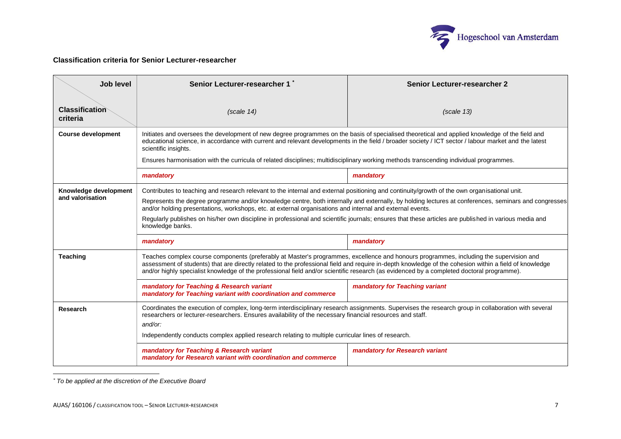

## **Classification criteria for Senior Lecturer-researcher**

| Job level                                 | Senior Lecturer-researcher 1                                                                                                                                                                                                                                                                                                                                                                                                                                                                                                                                                                   | <b>Senior Lecturer-researcher 2</b> |  |  |  |  |
|-------------------------------------------|------------------------------------------------------------------------------------------------------------------------------------------------------------------------------------------------------------------------------------------------------------------------------------------------------------------------------------------------------------------------------------------------------------------------------------------------------------------------------------------------------------------------------------------------------------------------------------------------|-------------------------------------|--|--|--|--|
| <b>Classification</b><br>criteria         | (scale 14)                                                                                                                                                                                                                                                                                                                                                                                                                                                                                                                                                                                     | (scale 13)                          |  |  |  |  |
| <b>Course development</b>                 | Initiates and oversees the development of new degree programmes on the basis of specialised theoretical and applied knowledge of the field and<br>educational science, in accordance with current and relevant developments in the field / broader society / ICT sector / labour market and the latest<br>scientific insights.                                                                                                                                                                                                                                                                 |                                     |  |  |  |  |
|                                           | Ensures harmonisation with the curricula of related disciplines; multidisciplinary working methods transcending individual programmes.                                                                                                                                                                                                                                                                                                                                                                                                                                                         |                                     |  |  |  |  |
|                                           | mandatory                                                                                                                                                                                                                                                                                                                                                                                                                                                                                                                                                                                      | mandatory                           |  |  |  |  |
| Knowledge development<br>and valorisation | Contributes to teaching and research relevant to the internal and external positioning and continuity/growth of the own organisational unit.<br>Represents the degree programme and/or knowledge centre, both internally and externally, by holding lectures at conferences, seminars and congresses<br>and/or holding presentations, workshops, etc. at external organisations and internal and external events.<br>Regularly publishes on his/her own discipline in professional and scientific journals; ensures that these articles are published in various media and<br>knowledge banks. |                                     |  |  |  |  |
|                                           | mandatory                                                                                                                                                                                                                                                                                                                                                                                                                                                                                                                                                                                      | mandatory                           |  |  |  |  |
| <b>Teaching</b>                           | Teaches complex course components (preferably at Master's programmes, excellence and honours programmes, including the supervision and<br>assessment of students) that are directly related to the professional field and require in-depth knowledge of the cohesion within a field of knowledge<br>and/or highly specialist knowledge of the professional field and/or scientific research (as evidenced by a completed doctoral programme).                                                                                                                                                  |                                     |  |  |  |  |
|                                           | mandatory for Teaching & Research variant<br>mandatory for Teaching variant with coordination and commerce                                                                                                                                                                                                                                                                                                                                                                                                                                                                                     | mandatory for Teaching variant      |  |  |  |  |
| Research                                  | Coordinates the execution of complex, long-term interdisciplinary research assignments. Supervises the research group in collaboration with several<br>researchers or lecturer-researchers. Ensures availability of the necessary financial resources and staff.<br>and/or:<br>Independently conducts complex applied research relating to multiple curricular lines of research.                                                                                                                                                                                                              |                                     |  |  |  |  |
|                                           | mandatory for Teaching & Research variant<br>mandatory for Research variant with coordination and commerce                                                                                                                                                                                                                                                                                                                                                                                                                                                                                     | mandatory for Research variant      |  |  |  |  |

-*\* To be applied at the discretion of the Executive Board*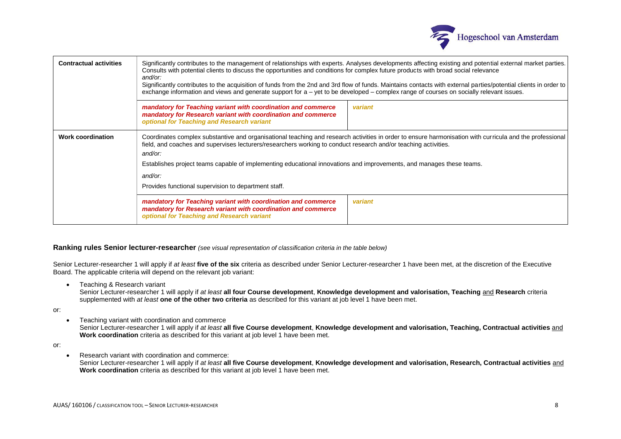

| <b>Contractual activities</b> | Significantly contributes to the management of relationships with experts. Analyses developments affecting existing and potential external market parties.<br>Consults with potential clients to discuss the opportunities and conditions for complex future products with broad social relevance<br>and/or:<br>Significantly contributes to the acquisition of funds from the 2nd and 3rd flow of funds. Maintains contacts with external parties/potential clients in order to<br>exchange information and views and generate support for a – yet to be developed – complex range of courses on socially relevant issues. |                                                                                                                                                                                                                                                                                                                                                                                                     |  |  |  |  |
|-------------------------------|-----------------------------------------------------------------------------------------------------------------------------------------------------------------------------------------------------------------------------------------------------------------------------------------------------------------------------------------------------------------------------------------------------------------------------------------------------------------------------------------------------------------------------------------------------------------------------------------------------------------------------|-----------------------------------------------------------------------------------------------------------------------------------------------------------------------------------------------------------------------------------------------------------------------------------------------------------------------------------------------------------------------------------------------------|--|--|--|--|
|                               | mandatory for Teaching variant with coordination and commerce<br>mandatory for Research variant with coordination and commerce<br>optional for Teaching and Research variant                                                                                                                                                                                                                                                                                                                                                                                                                                                | variant                                                                                                                                                                                                                                                                                                                                                                                             |  |  |  |  |
| <b>Work coordination</b>      | and/or:<br>and/or:<br>Provides functional supervision to department staff.                                                                                                                                                                                                                                                                                                                                                                                                                                                                                                                                                  | Coordinates complex substantive and organisational teaching and research activities in order to ensure harmonisation with curricula and the professional<br>field, and coaches and supervises lecturers/researchers working to conduct research and/or teaching activities.<br>Establishes project teams capable of implementing educational innovations and improvements, and manages these teams. |  |  |  |  |
|                               | mandatory for Teaching variant with coordination and commerce<br>mandatory for Research variant with coordination and commerce<br>optional for Teaching and Research variant                                                                                                                                                                                                                                                                                                                                                                                                                                                | variant                                                                                                                                                                                                                                                                                                                                                                                             |  |  |  |  |

## **Ranking rules Senior lecturer-researcher** *(see visual representation of classification criteria in the table below)*

Senior Lecturer-researcher 1 will apply if *at least* **five of the six** criteria as described under Senior Lecturer-researcher 1 have been met, at the discretion of the Executive Board. The applicable criteria will depend on the relevant job variant:

• Teaching & Research variant

Senior Lecturer-researcher 1 will apply if *at least* **all four Course development**, **Knowledge development and valorisation, Teaching** and **Research** criteria supplemented with *at least* **one of the other two criteria** as described for this variant at job level 1 have been met.

or:

• Teaching variant with coordination and commerce

Senior Lecturer-researcher 1 will apply if *at least* **all five Course development**, **Knowledge development and valorisation, Teaching, Contractual activities** and **Work coordination** criteria as described for this variant at job level 1 have been met.

or:

• Research variant with coordination and commerce:

Senior Lecturer-researcher 1 will apply if *at least* **all five Course development**, **Knowledge development and valorisation, Research, Contractual activities** and **Work coordination** criteria as described for this variant at job level 1 have been met.